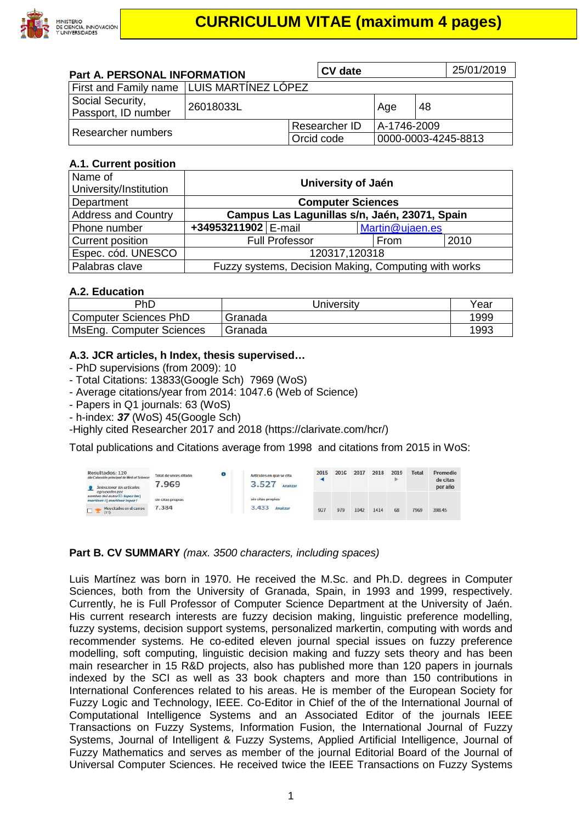

# **CURRICULUM VITAE (maximum 4 pages)**

| <b>Part A. PERSONAL INFORMATION</b>         | <b>CV</b> date |                              |                     | 25/01/2019 |  |
|---------------------------------------------|----------------|------------------------------|---------------------|------------|--|
| First and Family name   LUIS MARTÍNEZ LÓPEZ |                |                              |                     |            |  |
| Social Security,<br>Passport, ID number     | 26018033L      |                              | Age                 | 48         |  |
| Researcher numbers                          |                | A-1746-2009<br>Researcher ID |                     |            |  |
|                                             |                | Orcid code                   | 0000-0003-4245-8813 |            |  |

#### **A.1. Current position**

| Name of                    | University of Jaén                                   |                       |                 |      |  |  |
|----------------------------|------------------------------------------------------|-----------------------|-----------------|------|--|--|
| University/Institution     |                                                      |                       |                 |      |  |  |
| Department                 | <b>Computer Sciences</b>                             |                       |                 |      |  |  |
| <b>Address and Country</b> | Campus Las Lagunillas s/n, Jaén, 23071, Spain        |                       |                 |      |  |  |
| Phone number               | +34953211902 E-mail                                  |                       | Martin@ujaen.es |      |  |  |
| <b>Current position</b>    |                                                      | <b>Full Professor</b> | From            | 2010 |  |  |
| Espec. cód. UNESCO         | 120317,120318                                        |                       |                 |      |  |  |
| Palabras clave             | Fuzzy systems, Decision Making, Computing with works |                       |                 |      |  |  |

#### **A.2. Education**

| PhD                      | Jniversitv | Year |  |  |
|--------------------------|------------|------|--|--|
| Computer Sciences PhD    | Granada    | 1999 |  |  |
| MsEng. Computer Sciences | Granada    | 1993 |  |  |

#### **A.3. JCR articles, h Index, thesis supervised…**

- PhD supervisions (from 2009): 10
- Total Citations: 13833(Google Sch) 7969 (WoS)
- Average citations/year from 2014: 1047.6 (Web of Science)
- Papers in Q1 journals: 63 (WoS)
- h-index: *37* (WoS) 45(Google Sch)
- -Highly cited Researcher 2017 and 2018 (https://clarivate.com/hcr/)

Total publications and Citations average from 1998 and citations from 2015 in WoS:

| Resultados: 120<br>(de Colección principal de Web of Science-<br>Seleccionar los artículos | $\bullet$<br>Total de veces citado<br>7.969 | Artículos en que se cita<br>3.527<br>Analizar | 2015              | 2016 | 2017 | 2018 | 2019<br>► | <b>Total</b> | <b>Promedio</b><br>de citas<br>por año |        |
|--------------------------------------------------------------------------------------------|---------------------------------------------|-----------------------------------------------|-------------------|------|------|------|-----------|--------------|----------------------------------------|--------|
| ogrupados por<br>nombre del autoriil: lopez lm l<br>martinez    martinez lopez             | sin citas propias                           |                                               | sin citas propias |      |      |      |           |              |                                        |        |
| Muy citados en el campo<br>$\Box$<br>(17)                                                  | 7.384<br>.                                  |                                               | 3.433<br>Analizar | 927  | 979  | 1042 | 1414      | 68           | 7969                                   | 398.45 |

#### **Part B. CV SUMMARY** *(max. 3500 characters, including spaces)*

Luis Martínez was born in 1970. He received the M.Sc. and Ph.D. degrees in Computer Sciences, both from the University of Granada, Spain, in 1993 and 1999, respectively. Currently, he is Full Professor of Computer Science Department at the University of Jaén. His current research interests are fuzzy decision making, linguistic preference modelling, fuzzy systems, decision support systems, personalized markertin, computing with words and recommender systems. He co-edited eleven journal special issues on fuzzy preference modelling, soft computing, linguistic decision making and fuzzy sets theory and has been main researcher in 15 R&D projects, also has published more than 120 papers in journals indexed by the SCI as well as 33 book chapters and more than 150 contributions in International Conferences related to his areas. He is member of the European Society for Fuzzy Logic and Technology, IEEE. Co-Editor in Chief of the of the International Journal of Computational Intelligence Systems and an Associated Editor of the journals IEEE Transactions on Fuzzy Systems, Information Fusion, the International Journal of Fuzzy Systems, Journal of Intelligent & Fuzzy Systems, Applied Artificial Intelligence, Journal of Fuzzy Mathematics and serves as member of the journal Editorial Board of the Journal of Universal Computer Sciences. He received twice the IEEE Transactions on Fuzzy Systems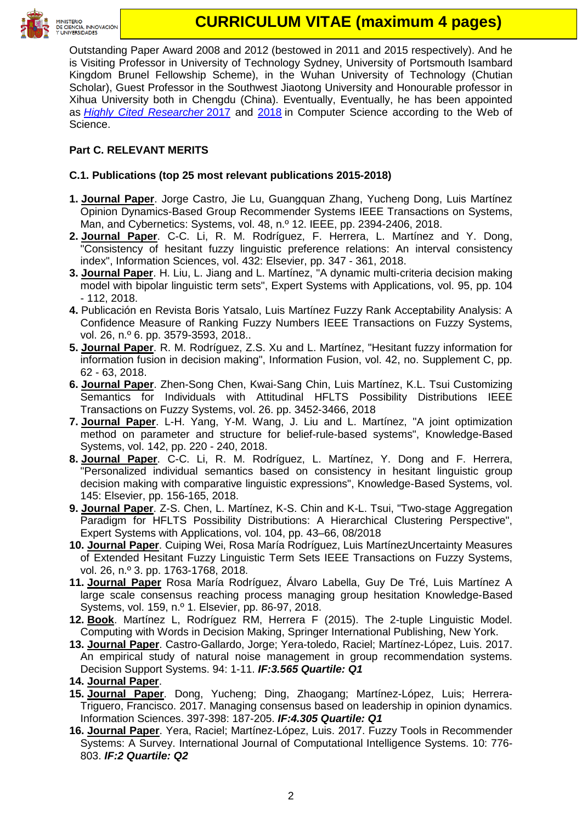

# **CURRICULUM VITAE (maximum 4 pages)**

Outstanding Paper Award 2008 and 2012 (bestowed in 2011 and 2015 respectively). And he is Visiting Professor in University of Technology Sydney, University of Portsmouth Isambard Kingdom Brunel Fellowship Scheme), in the Wuhan University of Technology (Chutian Scholar), Guest Professor in the Southwest Jiaotong University and Honourable professor in Xihua University both in Chengdu (China). Eventually, Eventually, he has been appointed as *[Highly Cited Researcher](https://clarivate.com/hcr/2017-researchers-list/#freeText=Martinez%2C%20Luis)* 2017 and [2018](https://feedback.hcr.clarivate.com/?utm_campaign=Validation_email_HCR_SAR_2018_email1&utm_medium=email&utm_source=Eloqua) in Computer Science according to the Web of Science.

## **Part C. RELEVANT MERITS**

## **C.1. Publications (top 25 most relevant publications 2015-2018)**

- **1. Journal Paper**. Jorge Castro, Jie Lu, Guangquan Zhang, Yucheng Dong, Luis Martínez Opinion Dynamics-Based Group Recommender Systems IEEE Transactions on Systems, Man, and Cybernetics: Systems, vol. 48, n.º 12. IEEE, pp. 2394-2406, 2018.
- **2. Journal Paper**. C-C. Li, R. M. Rodríguez, F. Herrera, L. Martínez and Y. Dong, "Consistency of hesitant fuzzy linguistic preference relations: An interval consistency index", Information Sciences, vol. 432: Elsevier, pp. 347 - 361, 2018.
- **3. Journal Paper**. H. Liu, L. Jiang and L. Martínez, "A dynamic multi-criteria decision making model with bipolar linguistic term sets", Expert Systems with Applications, vol. 95, pp. 104 - 112, 2018.
- **4.** Publicación en Revista Boris Yatsalo, Luis Martínez Fuzzy Rank Acceptability Analysis: A Confidence Measure of Ranking Fuzzy Numbers IEEE Transactions on Fuzzy Systems, vol. 26, n.º 6. pp. 3579-3593, 2018..
- **5. Journal Paper**. R. M. Rodríguez, Z.S. Xu and L. Martínez, "Hesitant fuzzy information for information fusion in decision making", Information Fusion, vol. 42, no. Supplement C, pp. 62 - 63, 2018.
- **6. Journal Paper**. Zhen-Song Chen, Kwai-Sang Chin, Luis Martínez, K.L. Tsui Customizing Semantics for Individuals with Attitudinal HFLTS Possibility Distributions IEEE Transactions on Fuzzy Systems, vol. 26. pp. 3452-3466, 2018
- **7. Journal Paper**. L-H. Yang, Y-M. Wang, J. Liu and L. Martínez, "A joint optimization method on parameter and structure for belief-rule-based systems", Knowledge-Based Systems, vol. 142, pp. 220 - 240, 2018.
- **8. Journal Paper**. C-C. Li, R. M. Rodríguez, L. Martínez, Y. Dong and F. Herrera, "Personalized individual semantics based on consistency in hesitant linguistic group decision making with comparative linguistic expressions", Knowledge-Based Systems, vol. 145: Elsevier, pp. 156-165, 2018.
- **9. Journal Paper**. Z-S. Chen, L. Martínez, K-S. Chin and K-L. Tsui, "Two-stage Aggregation Paradigm for HFLTS Possibility Distributions: A Hierarchical Clustering Perspective", Expert Systems with Applications, vol. 104, pp. 43–66, 08/2018
- **10. Journal Paper**. Cuiping Wei, Rosa María Rodríguez, Luis MartínezUncertainty Measures of Extended Hesitant Fuzzy Linguistic Term Sets IEEE Transactions on Fuzzy Systems, vol. 26, n.º 3. pp. 1763-1768, 2018.
- **11. Journal Paper** Rosa María Rodríguez, Álvaro Labella, Guy De Tré, Luis Martínez A large scale consensus reaching process managing group hesitation Knowledge-Based Systems, vol. 159, n.º 1. Elsevier, pp. 86-97, 2018.
- **12. Book**. Martínez L, Rodríguez RM, Herrera F (2015). The 2-tuple Linguistic Model. Computing with Words in Decision Making, Springer International Publishing, New York.
- **13. Journal Paper**. Castro-Gallardo, Jorge; Yera-toledo, Raciel; Martínez-López, Luis. 2017. An empirical study of natural noise management in group recommendation systems. Decision Support Systems. 94: 1-11. *IF:3.565 Quartile: Q1*
- **14. Journal Paper**.
- **15. Journal Paper**. Dong, Yucheng; Ding, Zhaogang; Martínez-López, Luis; Herrera-Triguero, Francisco. 2017. Managing consensus based on leadership in opinion dynamics. Information Sciences. 397-398: 187-205. *IF:4.305 Quartile: Q1*
- **16. Journal Paper**. Yera, Raciel; Martínez-López, Luis. 2017. Fuzzy Tools in Recommender Systems: A Survey. International Journal of Computational Intelligence Systems. 10: 776- 803. *IF:2 Quartile: Q2*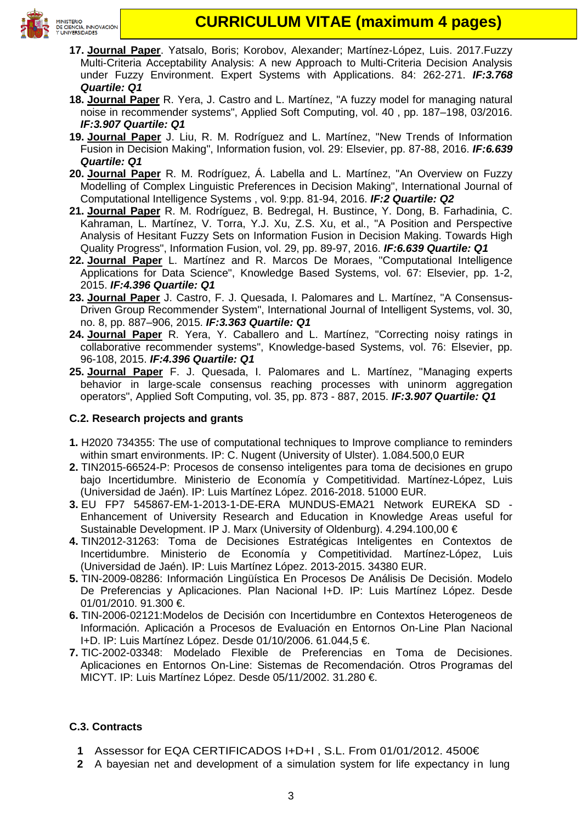

- **17. Journal Paper**. Yatsalo, Boris; Korobov, Alexander; Martínez-López, Luis. 2017.Fuzzy Multi-Criteria Acceptability Analysis: A new Approach to Multi-Criteria Decision Analysis under Fuzzy Environment. Expert Systems with Applications. 84: 262-271. *IF:3.768 Quartile: Q1*
- **18. Journal Paper** R. Yera, J. Castro and L. Martínez, "A fuzzy model for managing natural noise in recommender systems", Applied Soft Computing, vol. 40 , pp. 187–198, 03/2016. *IF:3.907 Quartile: Q1*
- **19. Journal Paper** J. Liu, R. M. Rodríguez and L. Martínez, "New Trends of Information Fusion in Decision Making", Information fusion, vol. 29: Elsevier, pp. 87-88, 2016. *IF:6.639 Quartile: Q1*
- **20. Journal Paper** R. M. Rodríguez, Á. Labella and L. Martínez, "An Overview on Fuzzy Modelling of Complex Linguistic Preferences in Decision Making", International Journal of Computational Intelligence Systems , vol. 9:pp. 81-94, 2016. *IF:2 Quartile: Q2*
- **21. Journal Paper** R. M. Rodríguez, B. Bedregal, H. Bustince, Y. Dong, B. Farhadinia, C. Kahraman, L. Martínez, V. Torra, Y.J. Xu, Z.S. Xu, et al., "A Position and Perspective Analysis of Hesitant Fuzzy Sets on Information Fusion in Decision Making. Towards High Quality Progress", Information Fusion, vol. 29, pp. 89-97, 2016. *IF:6.639 Quartile: Q1*
- **22. Journal Paper** L. Martínez and R. Marcos De Moraes, "Computational Intelligence Applications for Data Science", Knowledge Based Systems, vol. 67: Elsevier, pp. 1-2, 2015. *IF:4.396 Quartile: Q1*
- **23. Journal Paper** J. Castro, F. J. Quesada, I. Palomares and L. Martínez, "A Consensus-Driven Group Recommender System", International Journal of Intelligent Systems, vol. 30, no. 8, pp. 887–906, 2015. *IF:3.363 Quartile: Q1*
- **24. Journal Paper** R. Yera, Y. Caballero and L. Martínez, "Correcting noisy ratings in collaborative recommender systems", Knowledge-based Systems, vol. 76: Elsevier, pp. 96-108, 2015. *IF:4.396 Quartile: Q1*
- **25. Journal Paper** F. J. Quesada, I. Palomares and L. Martínez, "Managing experts behavior in large-scale consensus reaching processes with uninorm aggregation operators", Applied Soft Computing, vol. 35, pp. 873 - 887, 2015. *IF:3.907 Quartile: Q1*

## **C.2. Research projects and grants**

- **1.** H2020 734355: The use of computational techniques to Improve compliance to reminders within smart environments. IP: C. Nugent (University of Ulster). 1.084.500,0 EUR
- **2.** TIN2015-66524-P: Procesos de consenso inteligentes para toma de decisiones en grupo bajo Incertidumbre. Ministerio de Economía y Competitividad. Martínez-López, Luis (Universidad de Jaén). IP: Luis Martínez López. 2016-2018. 51000 EUR.
- **3.** EU FP7 545867-EM-1-2013-1-DE-ERA MUNDUS-EMA21 Network EUREKA SD Enhancement of University Research and Education in Knowledge Areas useful for Sustainable Development. IP J. Marx (University of Oldenburg). 4.294.100,00 €
- **4.** TIN2012-31263: Toma de Decisiones Estratégicas Inteligentes en Contextos de Incertidumbre. Ministerio de Economía y Competitividad. Martínez-López, Luis (Universidad de Jaén). IP: Luis Martínez López. 2013-2015. 34380 EUR.
- **5.** TIN-2009-08286: Información Lingüística En Procesos De Análisis De Decisión. Modelo De Preferencias y Aplicaciones. Plan Nacional I+D. IP: Luis Martínez López. Desde 01/01/2010. 91.300 €.
- **6.** TIN-2006-02121:Modelos de Decisión con Incertidumbre en Contextos Heterogeneos de Información. Aplicación a Procesos de Evaluación en Entornos On-Line Plan Nacional I+D. IP: Luis Martínez López. Desde 01/10/2006. 61.044,5 €.
- **7.** TIC-2002-03348: Modelado Flexible de Preferencias en Toma de Decisiones. Aplicaciones en Entornos On-Line: Sistemas de Recomendación. Otros Programas del MICYT. IP: Luis Martínez López. Desde 05/11/2002. 31.280 €.

## **C.3. Contracts**

- **1** Assessor for EQA CERTIFICADOS I+D+I , S.L. From 01/01/2012. 4500€
- **2** A bayesian net and development of a simulation system for life expectancy in lung